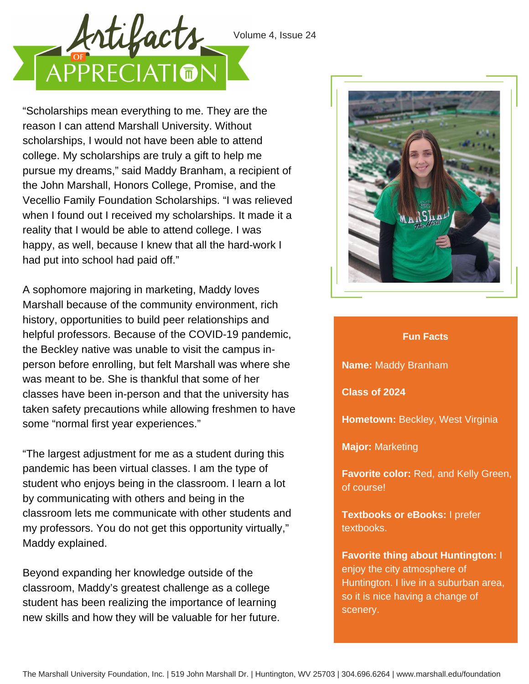



"Scholarships mean everything to me. They are the reason I can attend Marshall University. Without scholarships, I would not have been able to attend college. My scholarships are truly a gift to help me pursue my dreams," said Maddy Branham, a recipient of the John Marshall, Honors College, Promise, and the Vecellio Family Foundation Scholarships. "I was relieved when I found out I received my scholarships. It made it a reality that I would be able to attend college. I was happy, as well, because I knew that all the hard-work I had put into school had paid off."

A sophomore majoring in marketing, Maddy loves Marshall because of the community environment, rich history, opportunities to build peer relationships and helpful professors. Because of the COVID-19 pandemic, the Beckley native was unable to visit the campus inperson before enrolling, but felt Marshall was where she was meant to be. She is thankful that some of her classes have been in-person and that the university has taken safety precautions while allowing freshmen to have some "normal first year experiences."

"The largest adjustment for me as a student during this pandemic has been virtual classes. I am the type of student who enjoys being in the classroom. I learn a lot by communicating with others and being in the classroom lets me communicate with other students and my professors. You do not get this opportunity virtually," Maddy explained.

Beyond expanding her knowledge outside of the classroom, Maddy's greatest challenge as a college student has been realizing the importance of learning new skills and how they will be valuable for her future.



## **Fun Facts**

**Name:** Maddy Branham

**Class of 2024**

**Hometown:** Beckley, West Virginia

**Major:** Marketing

**Favorite color:** Red, and Kelly Green, of course!

**Textbooks or eBooks:** I prefer textbooks.

**Favorite thing about Huntington:** I enjoy the city atmosphere of Huntington. I live in a suburban area, so it is nice having a change of scenery.